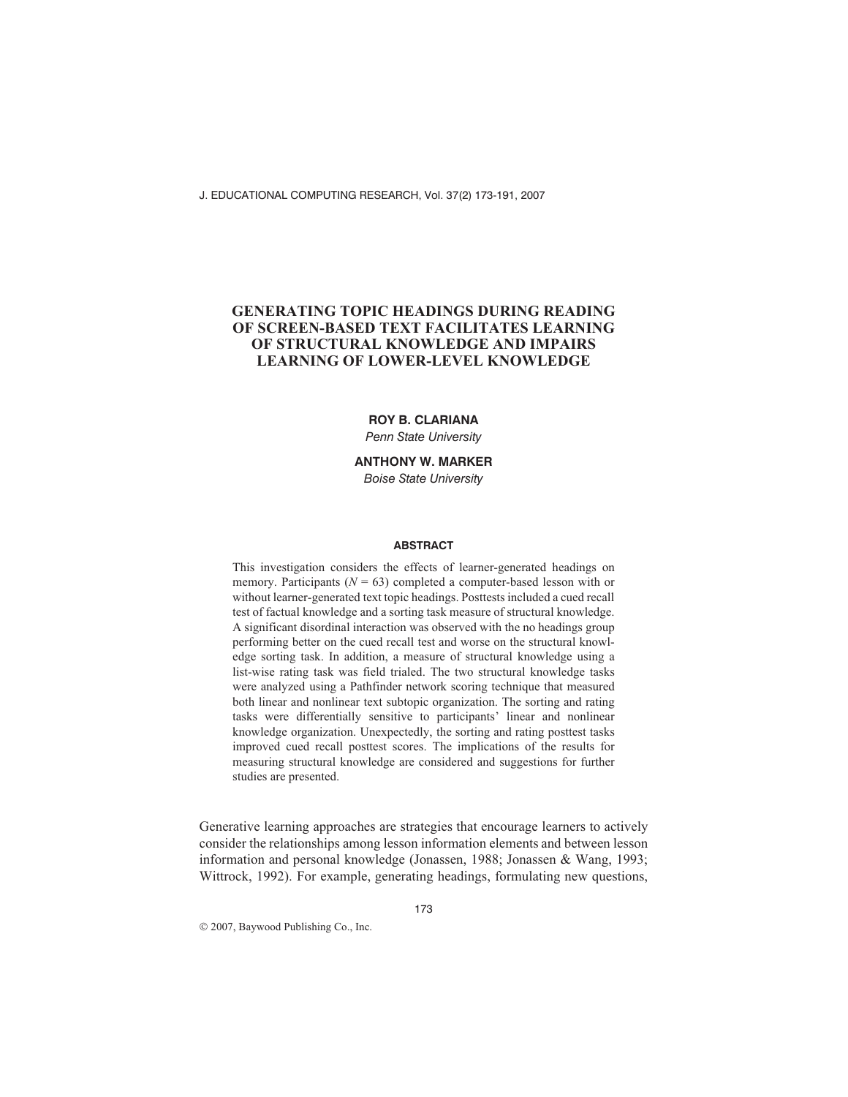J. EDUCATIONAL COMPUTING RESEARCH, Vol. 37(2) 173-191, 2007

# **GENERATING TOPIC HEADINGS DURING READING OF SCREEN-BASED TEXT FACILITATES LEARNING OF STRUCTURAL KNOWLEDGE AND IMPAIRS LEARNING OF LOWER-LEVEL KNOWLEDGE**

# **ROY B. CLARIANA**

*Penn State University*

**ANTHONY W. MARKER** *Boise State University*

## **ABSTRACT**

This investigation considers the effects of learner-generated headings on memory. Participants  $(N = 63)$  completed a computer-based lesson with or without learner-generated text topic headings. Posttests included a cued recall test of factual knowledge and a sorting task measure of structural knowledge. A significant disordinal interaction was observed with the no headings group performing better on the cued recall test and worse on the structural knowledge sorting task. In addition, a measure of structural knowledge using a list-wise rating task was field trialed. The two structural knowledge tasks were analyzed using a Pathfinder network scoring technique that measured both linear and nonlinear text subtopic organization. The sorting and rating tasks were differentially sensitive to participants' linear and nonlinear knowledge organization. Unexpectedly, the sorting and rating posttest tasks improved cued recall posttest scores. The implications of the results for measuring structural knowledge are considered and suggestions for further studies are presented.

Generative learning approaches are strategies that encourage learners to actively consider the relationships among lesson information elements and between lesson information and personal knowledge (Jonassen, 1988; Jonassen & Wang, 1993; Wittrock, 1992). For example, generating headings, formulating new questions,

2007, Baywood Publishing Co., Inc.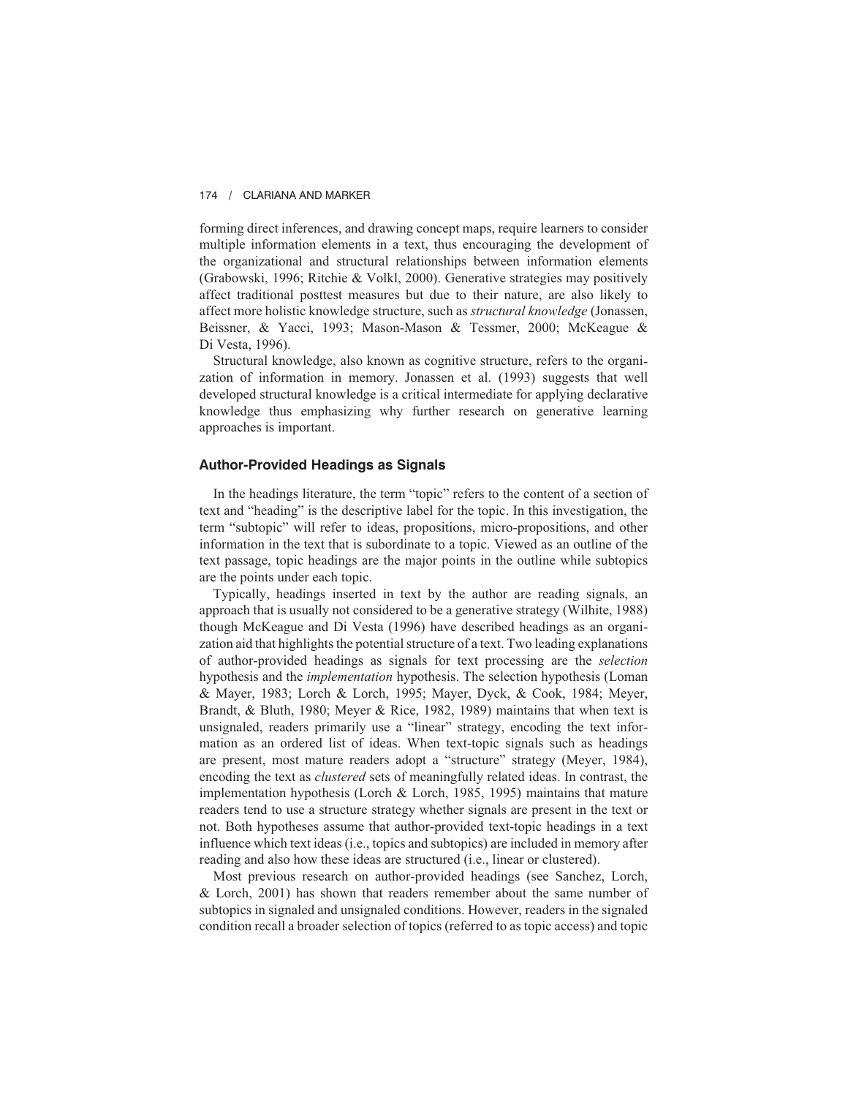forming direct inferences, and drawing concept maps, require learners to consider multiple information elements in a text, thus encouraging the development of the organizational and structural relationships between information elements (Grabowski, 1996; Ritchie & Volkl, 2000). Generative strategies may positively affect traditional posttest measures but due to their nature, are also likely to affect more holistic knowledge structure, such as *structural knowledge* (Jonassen, Beissner, & Yacci, 1993; Mason-Mason & Tessmer, 2000; McKeague & Di Vesta, 1996).

Structural knowledge, also known as cognitive structure, refers to the organization of information in memory. Jonassen et al. (1993) suggests that well developed structural knowledge is a critical intermediate for applying declarative knowledge thus emphasizing why further research on generative learning approaches is important.

# **Author-Provided Headings as Signals**

In the headings literature, the term "topic" refers to the content of a section of text and "heading" is the descriptive label for the topic. In this investigation, the term "subtopic" will refer to ideas, propositions, micro-propositions, and other information in the text that is subordinate to a topic. Viewed as an outline of the text passage, topic headings are the major points in the outline while subtopics are the points under each topic.

Typically, headings inserted in text by the author are reading signals, an approach that is usually not considered to be a generative strategy (Wilhite, 1988) though McKeague and Di Vesta (1996) have described headings as an organization aid that highlights the potential structure of a text. Two leading explanations of author-provided headings as signals for text processing are the *selection* hypothesis and the *implementation* hypothesis. The selection hypothesis (Loman & Mayer, 1983; Lorch & Lorch, 1995; Mayer, Dyck, & Cook, 1984; Meyer, Brandt, & Bluth, 1980; Meyer & Rice, 1982, 1989) maintains that when text is unsignaled, readers primarily use a "linear" strategy, encoding the text information as an ordered list of ideas. When text-topic signals such as headings are present, most mature readers adopt a "structure" strategy (Meyer, 1984), encoding the text as *clustered* sets of meaningfully related ideas. In contrast, the implementation hypothesis (Lorch & Lorch, 1985, 1995) maintains that mature readers tend to use a structure strategy whether signals are present in the text or not. Both hypotheses assume that author-provided text-topic headings in a text influence which text ideas (i.e., topics and subtopics) are included in memory after reading and also how these ideas are structured (i.e., linear or clustered).

Most previous research on author-provided headings (see Sanchez, Lorch, & Lorch, 2001) has shown that readers remember about the same number of subtopics in signaled and unsignaled conditions. However, readers in the signaled condition recall a broader selection of topics (referred to as topic access) and topic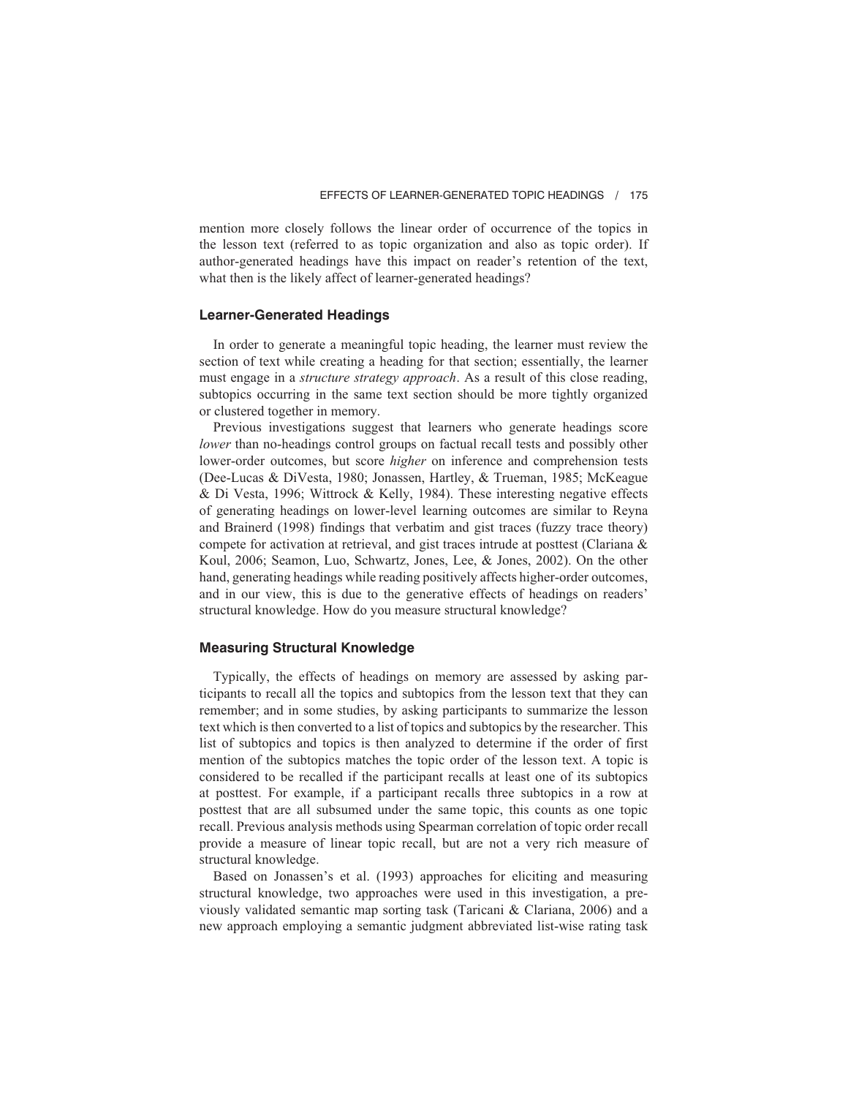mention more closely follows the linear order of occurrence of the topics in the lesson text (referred to as topic organization and also as topic order). If author-generated headings have this impact on reader's retention of the text, what then is the likely affect of learner-generated headings?

### **Learner-Generated Headings**

In order to generate a meaningful topic heading, the learner must review the section of text while creating a heading for that section; essentially, the learner must engage in a *structure strategy approach*. As a result of this close reading, subtopics occurring in the same text section should be more tightly organized or clustered together in memory.

Previous investigations suggest that learners who generate headings score *lower* than no-headings control groups on factual recall tests and possibly other lower-order outcomes, but score *higher* on inference and comprehension tests (Dee-Lucas & DiVesta, 1980; Jonassen, Hartley, & Trueman, 1985; McKeague & Di Vesta, 1996; Wittrock & Kelly, 1984). These interesting negative effects of generating headings on lower-level learning outcomes are similar to Reyna and Brainerd (1998) findings that verbatim and gist traces (fuzzy trace theory) compete for activation at retrieval, and gist traces intrude at posttest (Clariana & Koul, 2006; Seamon, Luo, Schwartz, Jones, Lee, & Jones, 2002). On the other hand, generating headings while reading positively affects higher-order outcomes, and in our view, this is due to the generative effects of headings on readers' structural knowledge. How do you measure structural knowledge?

## **Measuring Structural Knowledge**

Typically, the effects of headings on memory are assessed by asking participants to recall all the topics and subtopics from the lesson text that they can remember; and in some studies, by asking participants to summarize the lesson text which is then converted to a list of topics and subtopics by the researcher. This list of subtopics and topics is then analyzed to determine if the order of first mention of the subtopics matches the topic order of the lesson text. A topic is considered to be recalled if the participant recalls at least one of its subtopics at posttest. For example, if a participant recalls three subtopics in a row at posttest that are all subsumed under the same topic, this counts as one topic recall. Previous analysis methods using Spearman correlation of topic order recall provide a measure of linear topic recall, but are not a very rich measure of structural knowledge.

Based on Jonassen's et al. (1993) approaches for eliciting and measuring structural knowledge, two approaches were used in this investigation, a previously validated semantic map sorting task (Taricani & Clariana, 2006) and a new approach employing a semantic judgment abbreviated list-wise rating task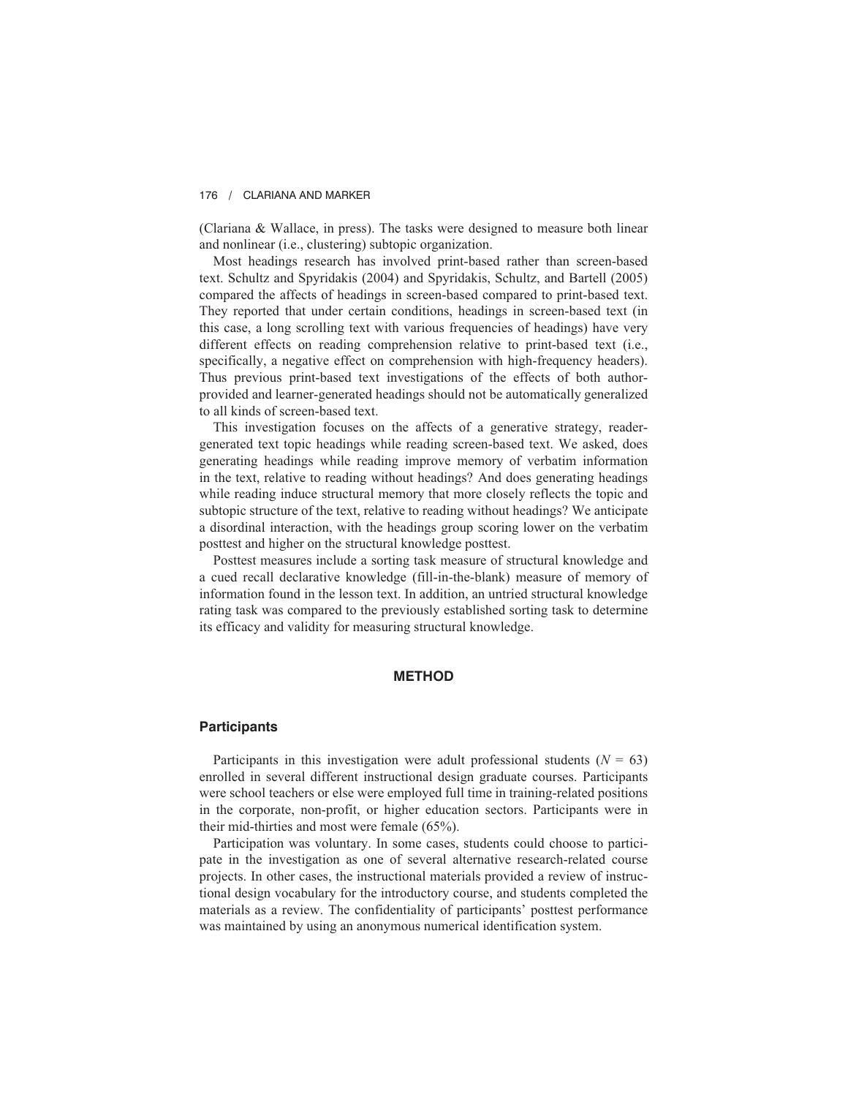(Clariana & Wallace, in press). The tasks were designed to measure both linear and nonlinear (i.e., clustering) subtopic organization.

Most headings research has involved print-based rather than screen-based text. Schultz and Spyridakis (2004) and Spyridakis, Schultz, and Bartell (2005) compared the affects of headings in screen-based compared to print-based text. They reported that under certain conditions, headings in screen-based text (in this case, a long scrolling text with various frequencies of headings) have very different effects on reading comprehension relative to print-based text (i.e., specifically, a negative effect on comprehension with high-frequency headers). Thus previous print-based text investigations of the effects of both authorprovided and learner-generated headings should not be automatically generalized to all kinds of screen-based text.

This investigation focuses on the affects of a generative strategy, readergenerated text topic headings while reading screen-based text. We asked, does generating headings while reading improve memory of verbatim information in the text, relative to reading without headings? And does generating headings while reading induce structural memory that more closely reflects the topic and subtopic structure of the text, relative to reading without headings? We anticipate a disordinal interaction, with the headings group scoring lower on the verbatim posttest and higher on the structural knowledge posttest.

Posttest measures include a sorting task measure of structural knowledge and a cued recall declarative knowledge (fill-in-the-blank) measure of memory of information found in the lesson text. In addition, an untried structural knowledge rating task was compared to the previously established sorting task to determine its efficacy and validity for measuring structural knowledge.

## **METHOD**

### **Participants**

Participants in this investigation were adult professional students  $(N = 63)$ enrolled in several different instructional design graduate courses. Participants were school teachers or else were employed full time in training-related positions in the corporate, non-profit, or higher education sectors. Participants were in their mid-thirties and most were female (65%).

Participation was voluntary. In some cases, students could choose to participate in the investigation as one of several alternative research-related course projects. In other cases, the instructional materials provided a review of instructional design vocabulary for the introductory course, and students completed the materials as a review. The confidentiality of participants' posttest performance was maintained by using an anonymous numerical identification system.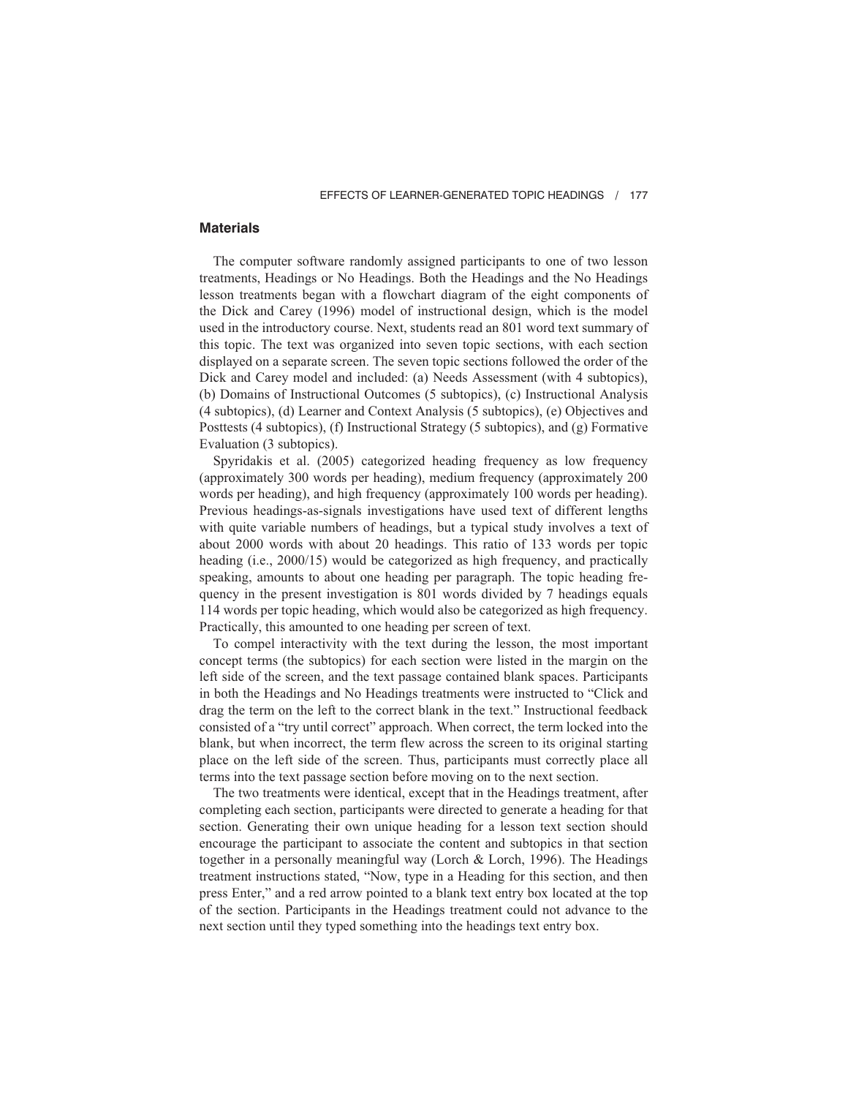# **Materials**

The computer software randomly assigned participants to one of two lesson treatments, Headings or No Headings. Both the Headings and the No Headings lesson treatments began with a flowchart diagram of the eight components of the Dick and Carey (1996) model of instructional design, which is the model used in the introductory course. Next, students read an 801 word text summary of this topic. The text was organized into seven topic sections, with each section displayed on a separate screen. The seven topic sections followed the order of the Dick and Carey model and included: (a) Needs Assessment (with 4 subtopics), (b) Domains of Instructional Outcomes (5 subtopics), (c) Instructional Analysis (4 subtopics), (d) Learner and Context Analysis (5 subtopics), (e) Objectives and Posttests (4 subtopics), (f) Instructional Strategy (5 subtopics), and (g) Formative Evaluation (3 subtopics).

Spyridakis et al. (2005) categorized heading frequency as low frequency (approximately 300 words per heading), medium frequency (approximately 200 words per heading), and high frequency (approximately 100 words per heading). Previous headings-as-signals investigations have used text of different lengths with quite variable numbers of headings, but a typical study involves a text of about 2000 words with about 20 headings. This ratio of 133 words per topic heading (i.e., 2000/15) would be categorized as high frequency, and practically speaking, amounts to about one heading per paragraph. The topic heading frequency in the present investigation is 801 words divided by 7 headings equals 114 words per topic heading, which would also be categorized as high frequency. Practically, this amounted to one heading per screen of text.

To compel interactivity with the text during the lesson, the most important concept terms (the subtopics) for each section were listed in the margin on the left side of the screen, and the text passage contained blank spaces. Participants in both the Headings and No Headings treatments were instructed to "Click and drag the term on the left to the correct blank in the text." Instructional feedback consisted of a "try until correct" approach. When correct, the term locked into the blank, but when incorrect, the term flew across the screen to its original starting place on the left side of the screen. Thus, participants must correctly place all terms into the text passage section before moving on to the next section.

The two treatments were identical, except that in the Headings treatment, after completing each section, participants were directed to generate a heading for that section. Generating their own unique heading for a lesson text section should encourage the participant to associate the content and subtopics in that section together in a personally meaningful way (Lorch & Lorch, 1996). The Headings treatment instructions stated, "Now, type in a Heading for this section, and then press Enter," and a red arrow pointed to a blank text entry box located at the top of the section. Participants in the Headings treatment could not advance to the next section until they typed something into the headings text entry box.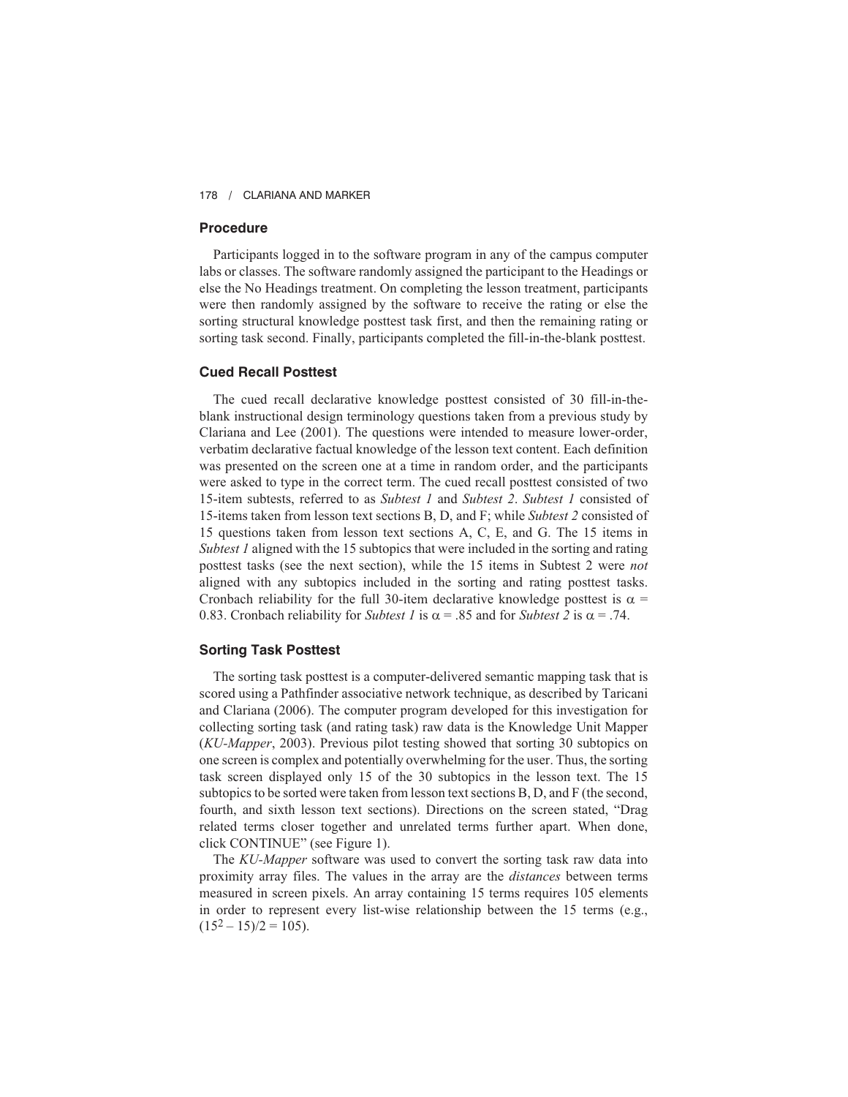# **Procedure**

Participants logged in to the software program in any of the campus computer labs or classes. The software randomly assigned the participant to the Headings or else the No Headings treatment. On completing the lesson treatment, participants were then randomly assigned by the software to receive the rating or else the sorting structural knowledge posttest task first, and then the remaining rating or sorting task second. Finally, participants completed the fill-in-the-blank posttest.

# **Cued Recall Posttest**

The cued recall declarative knowledge posttest consisted of 30 fill-in-theblank instructional design terminology questions taken from a previous study by Clariana and Lee (2001). The questions were intended to measure lower-order, verbatim declarative factual knowledge of the lesson text content. Each definition was presented on the screen one at a time in random order, and the participants were asked to type in the correct term. The cued recall posttest consisted of two 15-item subtests, referred to as *Subtest 1* and *Subtest 2*. *Subtest 1* consisted of 15-items taken from lesson text sections B, D, and F; while *Subtest 2* consisted of 15 questions taken from lesson text sections A, C, E, and G. The 15 items in *Subtest 1* aligned with the 15 subtopics that were included in the sorting and rating posttest tasks (see the next section), while the 15 items in Subtest 2 were *not* aligned with any subtopics included in the sorting and rating posttest tasks. Cronbach reliability for the full 30-item declarative knowledge posttest is  $\alpha$  = 0.83. Cronbach reliability for *Subtest 1* is  $\alpha = .85$  and for *Subtest 2* is  $\alpha = .74$ .

## **Sorting Task Posttest**

The sorting task posttest is a computer-delivered semantic mapping task that is scored using a Pathfinder associative network technique, as described by Taricani and Clariana (2006). The computer program developed for this investigation for collecting sorting task (and rating task) raw data is the Knowledge Unit Mapper (*KU-Mapper*, 2003). Previous pilot testing showed that sorting 30 subtopics on one screen is complex and potentially overwhelming for the user. Thus, the sorting task screen displayed only 15 of the 30 subtopics in the lesson text. The 15 subtopics to be sorted were taken from lesson text sections B, D, and F (the second, fourth, and sixth lesson text sections). Directions on the screen stated, "Drag related terms closer together and unrelated terms further apart. When done, click CONTINUE" (see Figure 1).

The *KU-Mapper* software was used to convert the sorting task raw data into proximity array files. The values in the array are the *distances* between terms measured in screen pixels. An array containing 15 terms requires 105 elements in order to represent every list-wise relationship between the 15 terms (e.g.,  $(15^2 - 15)/2 = 105$ ).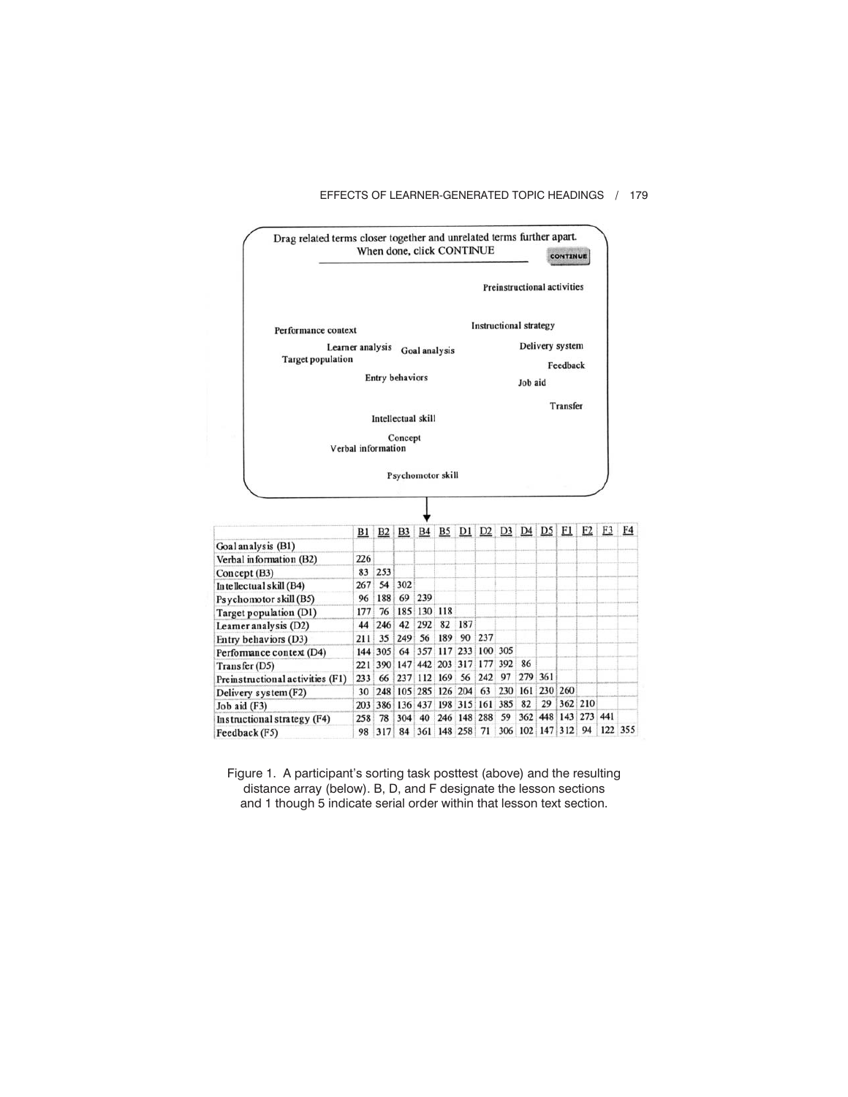### EFFECTS OF LEARNER-GENERATED TOPIC HEADINGS / 179



Figure 1. A participant's sorting task posttest (above) and the resulting distance array (below). B, D, and F designate the lesson sections and 1 though 5 indicate serial order within that lesson text section.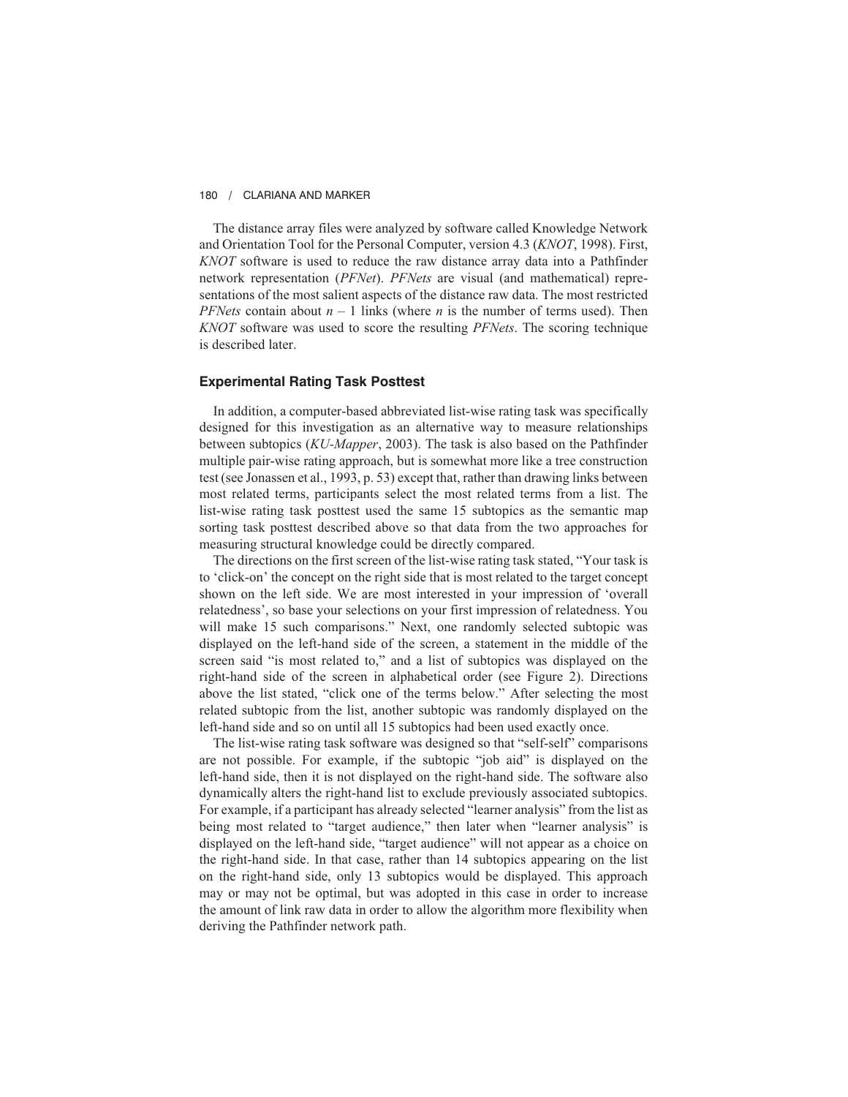The distance array files were analyzed by software called Knowledge Network and Orientation Tool for the Personal Computer, version 4.3 (*KNOT*, 1998). First, *KNOT* software is used to reduce the raw distance array data into a Pathfinder network representation (*PFNet*). *PFNets* are visual (and mathematical) representations of the most salient aspects of the distance raw data. The most restricted *PFNets* contain about *n* – 1 links (where *n* is the number of terms used). Then *KNOT* software was used to score the resulting *PFNets*. The scoring technique is described later.

# **Experimental Rating Task Posttest**

In addition, a computer-based abbreviated list-wise rating task was specifically designed for this investigation as an alternative way to measure relationships between subtopics (*KU-Mapper*, 2003). The task is also based on the Pathfinder multiple pair-wise rating approach, but is somewhat more like a tree construction test (see Jonassen et al., 1993, p. 53) except that, rather than drawing links between most related terms, participants select the most related terms from a list. The list-wise rating task posttest used the same 15 subtopics as the semantic map sorting task posttest described above so that data from the two approaches for measuring structural knowledge could be directly compared.

The directions on the first screen of the list-wise rating task stated, "Your task is to 'click-on' the concept on the right side that is most related to the target concept shown on the left side. We are most interested in your impression of 'overall relatedness', so base your selections on your first impression of relatedness. You will make 15 such comparisons." Next, one randomly selected subtopic was displayed on the left-hand side of the screen, a statement in the middle of the screen said "is most related to," and a list of subtopics was displayed on the right-hand side of the screen in alphabetical order (see Figure 2). Directions above the list stated, "click one of the terms below." After selecting the most related subtopic from the list, another subtopic was randomly displayed on the left-hand side and so on until all 15 subtopics had been used exactly once.

The list-wise rating task software was designed so that "self-self" comparisons are not possible. For example, if the subtopic "job aid" is displayed on the left-hand side, then it is not displayed on the right-hand side. The software also dynamically alters the right-hand list to exclude previously associated subtopics. For example, if a participant has already selected "learner analysis" from the list as being most related to "target audience," then later when "learner analysis" is displayed on the left-hand side, "target audience" will not appear as a choice on the right-hand side. In that case, rather than 14 subtopics appearing on the list on the right-hand side, only 13 subtopics would be displayed. This approach may or may not be optimal, but was adopted in this case in order to increase the amount of link raw data in order to allow the algorithm more flexibility when deriving the Pathfinder network path.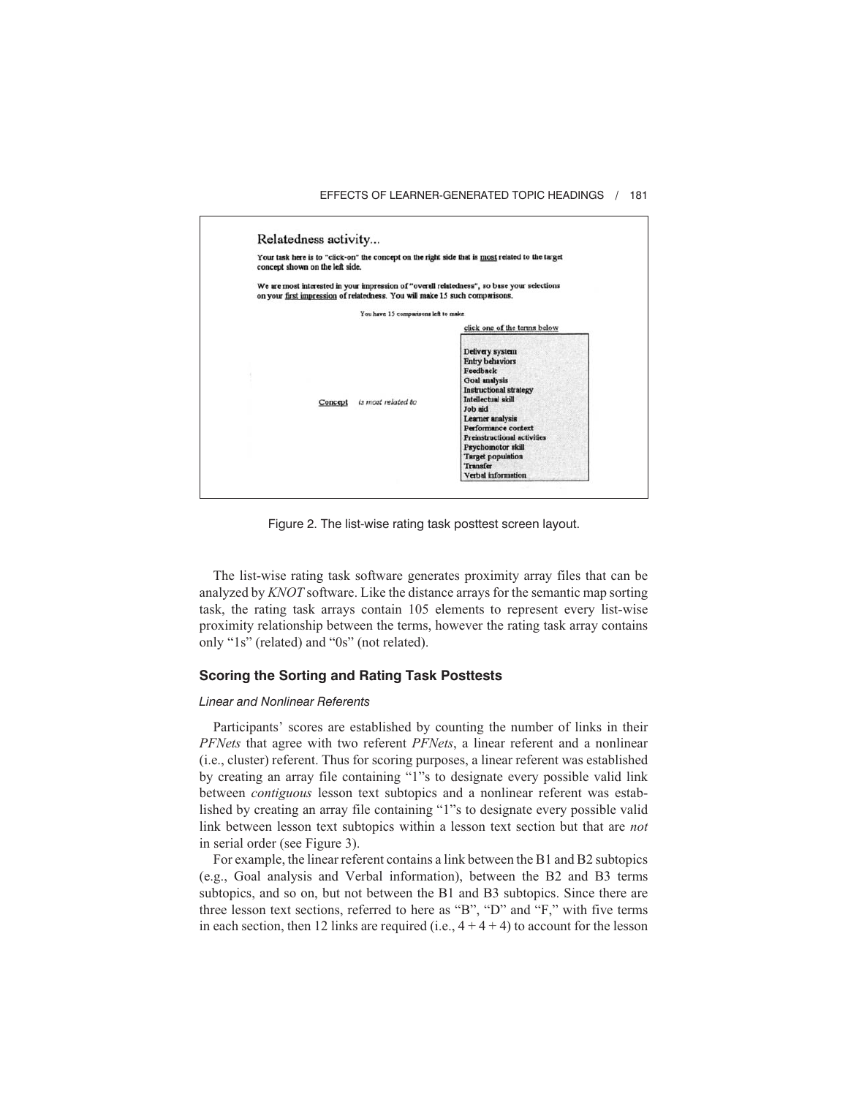#### EFFECTS OF LEARNER-GENERATED TOPIC HEADINGS / 181

| Relatedness activity                                                        |                                      |                                                                                                                                                                                                                                                                                                                                                     |
|-----------------------------------------------------------------------------|--------------------------------------|-----------------------------------------------------------------------------------------------------------------------------------------------------------------------------------------------------------------------------------------------------------------------------------------------------------------------------------------------------|
| concept shown on the left side.                                             |                                      | Your task here is to "click-on" the concept on the right side that is most related to the target                                                                                                                                                                                                                                                    |
| on your first impression of relatedness. You will make 15 such comparisons. |                                      | We are most interested in your impression of "overall relatedness", so base your selections                                                                                                                                                                                                                                                         |
|                                                                             | You have 15 comparisons left to make |                                                                                                                                                                                                                                                                                                                                                     |
| Concept                                                                     | is most related to                   | click one of the terms below<br>Delivery system<br><b>Entry behaviors</b><br>Feedback<br><b>Goal analysis</b><br><b>Instructional strategy</b><br>Intellectual skill<br>Job aid<br>Learner analysis<br>Performance context<br><b>Preinstructional activities</b><br>Psychomotor skill<br><b>Target population</b><br>Transfer<br>Verbal information |

Figure 2. The list-wise rating task posttest screen layout.

The list-wise rating task software generates proximity array files that can be analyzed by *KNOT* software. Like the distance arrays for the semantic map sorting task, the rating task arrays contain 105 elements to represent every list-wise proximity relationship between the terms, however the rating task array contains only "1s" (related) and "0s" (not related).

### **Scoring the Sorting and Rating Task Posttests**

## *Linear and Nonlinear Referents*

Participants' scores are established by counting the number of links in their *PFNets* that agree with two referent *PFNets*, a linear referent and a nonlinear (i.e., cluster) referent. Thus for scoring purposes, a linear referent was established by creating an array file containing "1"s to designate every possible valid link between *contiguous* lesson text subtopics and a nonlinear referent was established by creating an array file containing "1"s to designate every possible valid link between lesson text subtopics within a lesson text section but that are *not* in serial order (see Figure 3).

For example, the linear referent contains a link between the B1 and B2 subtopics (e.g., Goal analysis and Verbal information), between the B2 and B3 terms subtopics, and so on, but not between the B1 and B3 subtopics. Since there are three lesson text sections, referred to here as "B", "D" and "F," with five terms in each section, then 12 links are required (i.e.,  $4 + 4 + 4$ ) to account for the lesson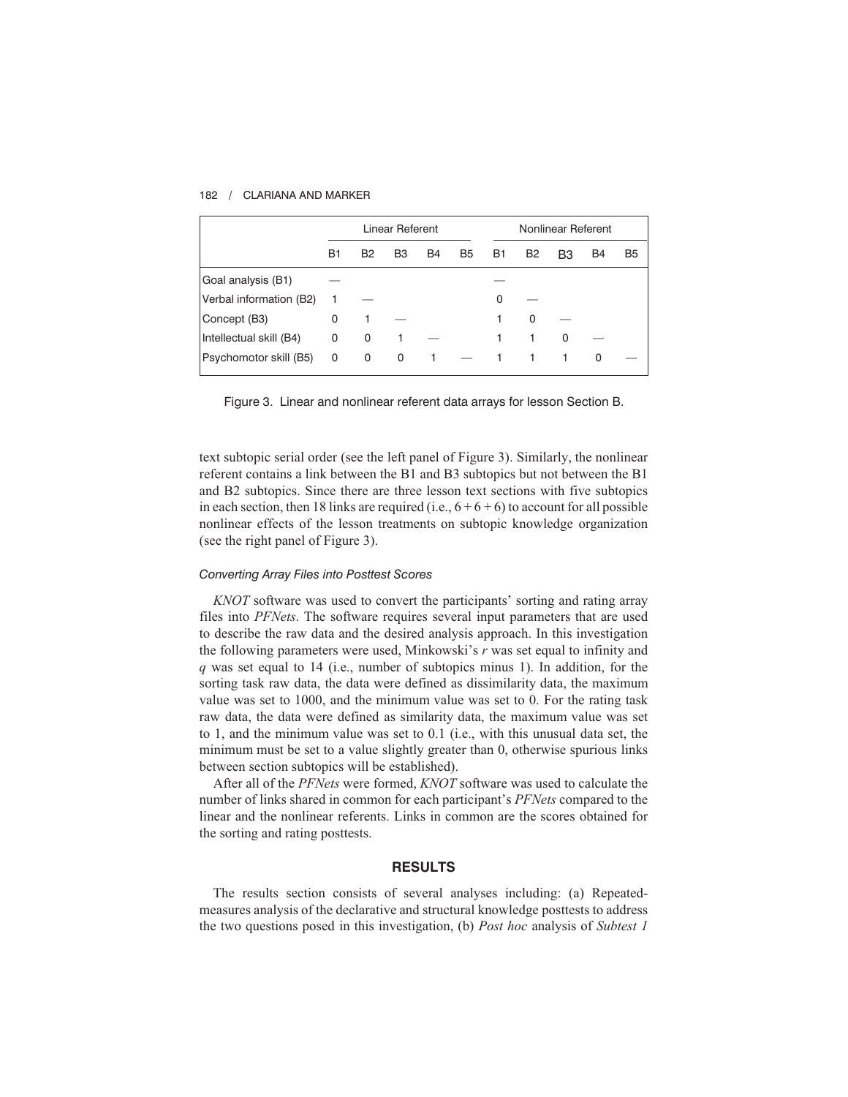|                         | Linear Referent |                |    |    |                | Nonlinear Referent |           |                |    |                |
|-------------------------|-----------------|----------------|----|----|----------------|--------------------|-----------|----------------|----|----------------|
|                         | <b>B1</b>       | B <sub>2</sub> | B3 | B4 | B <sub>5</sub> | <b>B1</b>          | <b>B2</b> | B <sub>3</sub> | B4 | B <sub>5</sub> |
| Goal analysis (B1)      |                 |                |    |    |                |                    |           |                |    |                |
| Verbal information (B2) |                 |                |    |    |                | 0                  |           |                |    |                |
| Concept (B3)            | 0               | 1              |    |    |                |                    | 0         |                |    |                |
| Intellectual skill (B4) | 0               | 0              |    |    |                |                    |           | 0              |    |                |
| Psychomotor skill (B5)  | 0               | 0              | 0  |    |                |                    |           |                | 0  |                |

Figure 3. Linear and nonlinear referent data arrays for lesson Section B.

text subtopic serial order (see the left panel of Figure 3). Similarly, the nonlinear referent contains a link between the B1 and B3 subtopics but not between the B1 and B2 subtopics. Since there are three lesson text sections with five subtopics in each section, then 18 links are required (i.e.,  $6 + 6 + 6$ ) to account for all possible nonlinear effects of the lesson treatments on subtopic knowledge organization (see the right panel of Figure 3).

## *Converting Array Files into Posttest Scores*

*KNOT* software was used to convert the participants' sorting and rating array files into *PFNets*. The software requires several input parameters that are used to describe the raw data and the desired analysis approach. In this investigation the following parameters were used, Minkowski's *r* was set equal to infinity and *q* was set equal to 14 (i.e., number of subtopics minus 1). In addition, for the sorting task raw data, the data were defined as dissimilarity data, the maximum value was set to 1000, and the minimum value was set to 0. For the rating task raw data, the data were defined as similarity data, the maximum value was set to 1, and the minimum value was set to 0.1 (i.e., with this unusual data set, the minimum must be set to a value slightly greater than 0, otherwise spurious links between section subtopics will be established).

After all of the *PFNets* were formed, *KNOT* software was used to calculate the number of links shared in common for each participant's *PFNets* compared to the linear and the nonlinear referents. Links in common are the scores obtained for the sorting and rating posttests.

# **RESULTS**

The results section consists of several analyses including: (a) Repeatedmeasures analysis of the declarative and structural knowledge posttests to address the two questions posed in this investigation, (b) *Post hoc* analysis of *Subtest 1*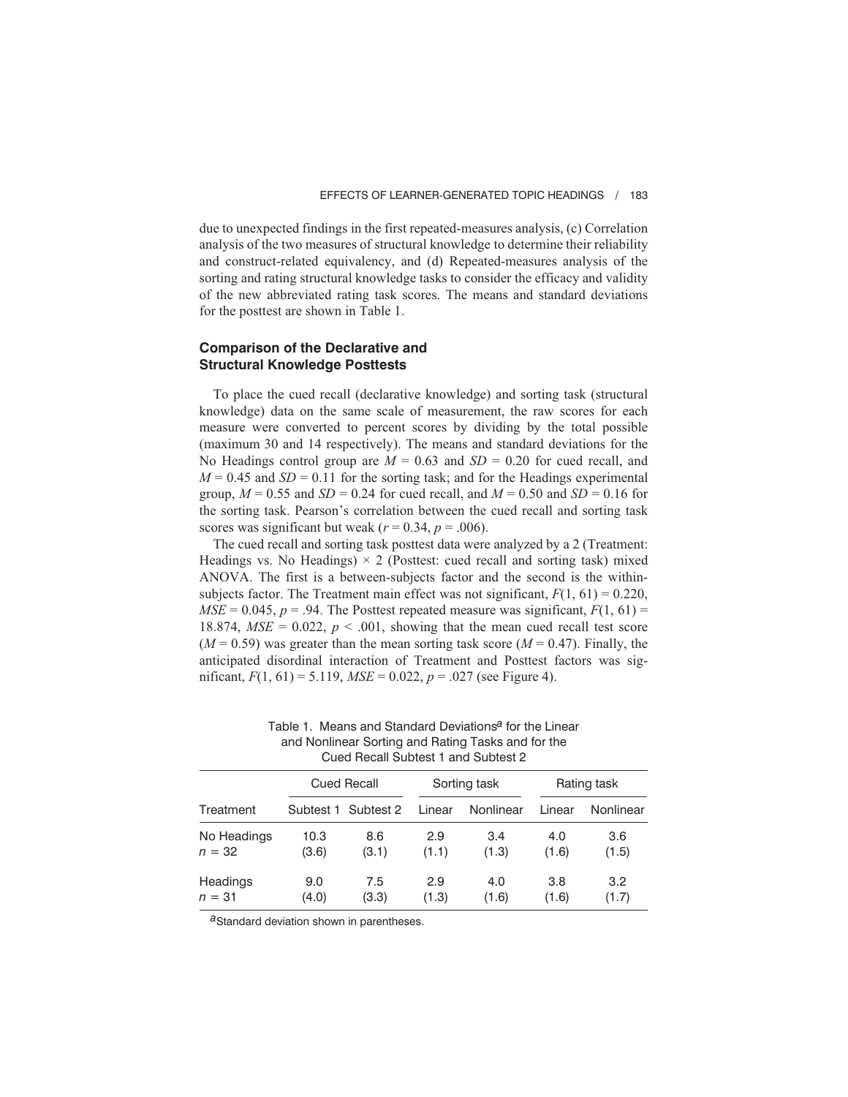due to unexpected findings in the first repeated-measures analysis, (c) Correlation analysis of the two measures of structural knowledge to determine their reliability and construct-related equivalency, and (d) Repeated-measures analysis of the sorting and rating structural knowledge tasks to consider the efficacy and validity of the new abbreviated rating task scores. The means and standard deviations for the posttest are shown in Table 1.

# **Comparison of the Declarative and Structural Knowledge Posttests**

To place the cued recall (declarative knowledge) and sorting task (structural knowledge) data on the same scale of measurement, the raw scores for each measure were converted to percent scores by dividing by the total possible (maximum 30 and 14 respectively). The means and standard deviations for the No Headings control group are  $M = 0.63$  and  $SD = 0.20$  for cued recall, and  $M = 0.45$  and  $SD = 0.11$  for the sorting task; and for the Headings experimental group,  $M = 0.55$  and  $SD = 0.24$  for cued recall, and  $M = 0.50$  and  $SD = 0.16$  for the sorting task. Pearson's correlation between the cued recall and sorting task scores was significant but weak ( $r = 0.34$ ,  $p = .006$ ).

The cued recall and sorting task posttest data were analyzed by a 2 (Treatment: Headings vs. No Headings)  $\times$  2 (Posttest: cued recall and sorting task) mixed ANOVA. The first is a between-subjects factor and the second is the withinsubjects factor. The Treatment main effect was not significant,  $F(1, 61) = 0.220$ ,  $MSE = 0.045$ ,  $p = .94$ . The Posttest repeated measure was significant,  $F(1, 61) =$ 18.874,  $MSE = 0.022$ ,  $p < .001$ , showing that the mean cued recall test score  $(M = 0.59)$  was greater than the mean sorting task score  $(M = 0.47)$ . Finally, the anticipated disordinal interaction of Treatment and Posttest factors was significant,  $F(1, 61) = 5.119$ ,  $MSE = 0.022$ ,  $p = .027$  (see Figure 4).

|                         |                    |                     |              | <u>Cueu necali Subtest Tariu Subtest Z</u> |              |              |  |
|-------------------------|--------------------|---------------------|--------------|--------------------------------------------|--------------|--------------|--|
| Treatment               | <b>Cued Recall</b> |                     |              | Sorting task                               | Rating task  |              |  |
|                         |                    | Subtest 1 Subtest 2 | Linear       | Nonlinear                                  | Linear       | Nonlinear    |  |
| No Headings<br>$n = 32$ | 10.3<br>(3.6)      | 8.6<br>(3.1)        | 2.9<br>(1.1) | 3.4<br>(1.3)                               | 4.0<br>(1.6) | 3.6<br>(1.5) |  |
| Headings<br>$n = 31$    | 9.0<br>(4.0)       | 7.5<br>(3.3)        | 2.9<br>(1.3) | 4.0<br>(1.6)                               | 3.8<br>(1.6) | 3.2<br>(1.7) |  |

Table 1. Means and Standard Deviations*a* for the Linear and Nonlinear Sorting and Rating Tasks and for the Cued Recall Subtest 1 and Subtest 2

*a*Standard deviation shown in parentheses.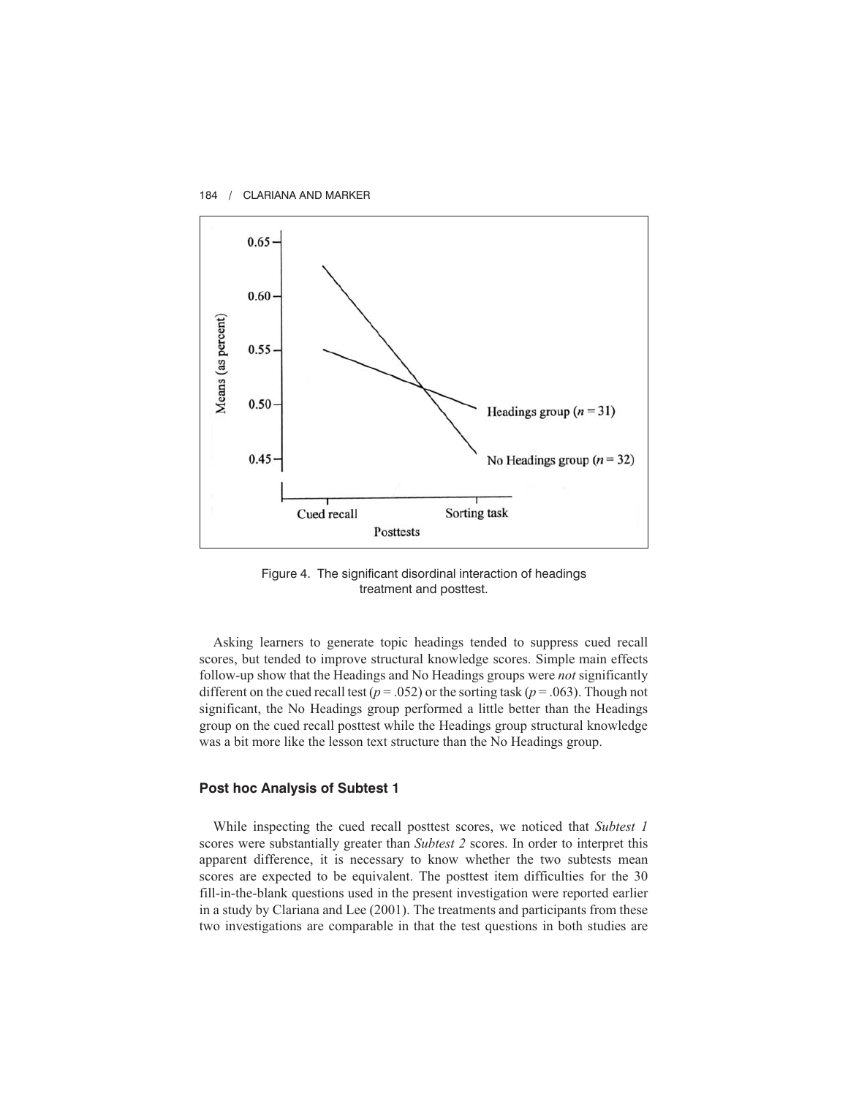

Figure 4. The significant disordinal interaction of headings treatment and posttest.

Asking learners to generate topic headings tended to suppress cued recall scores, but tended to improve structural knowledge scores. Simple main effects follow-up show that the Headings and No Headings groups were *not* significantly different on the cued recall test ( $p = .052$ ) or the sorting task ( $p = .063$ ). Though not significant, the No Headings group performed a little better than the Headings group on the cued recall posttest while the Headings group structural knowledge was a bit more like the lesson text structure than the No Headings group.

## **Post hoc Analysis of Subtest 1**

While inspecting the cued recall posttest scores, we noticed that *Subtest 1* scores were substantially greater than *Subtest 2* scores. In order to interpret this apparent difference, it is necessary to know whether the two subtests mean scores are expected to be equivalent. The posttest item difficulties for the 30 fill-in-the-blank questions used in the present investigation were reported earlier in a study by Clariana and Lee (2001). The treatments and participants from these two investigations are comparable in that the test questions in both studies are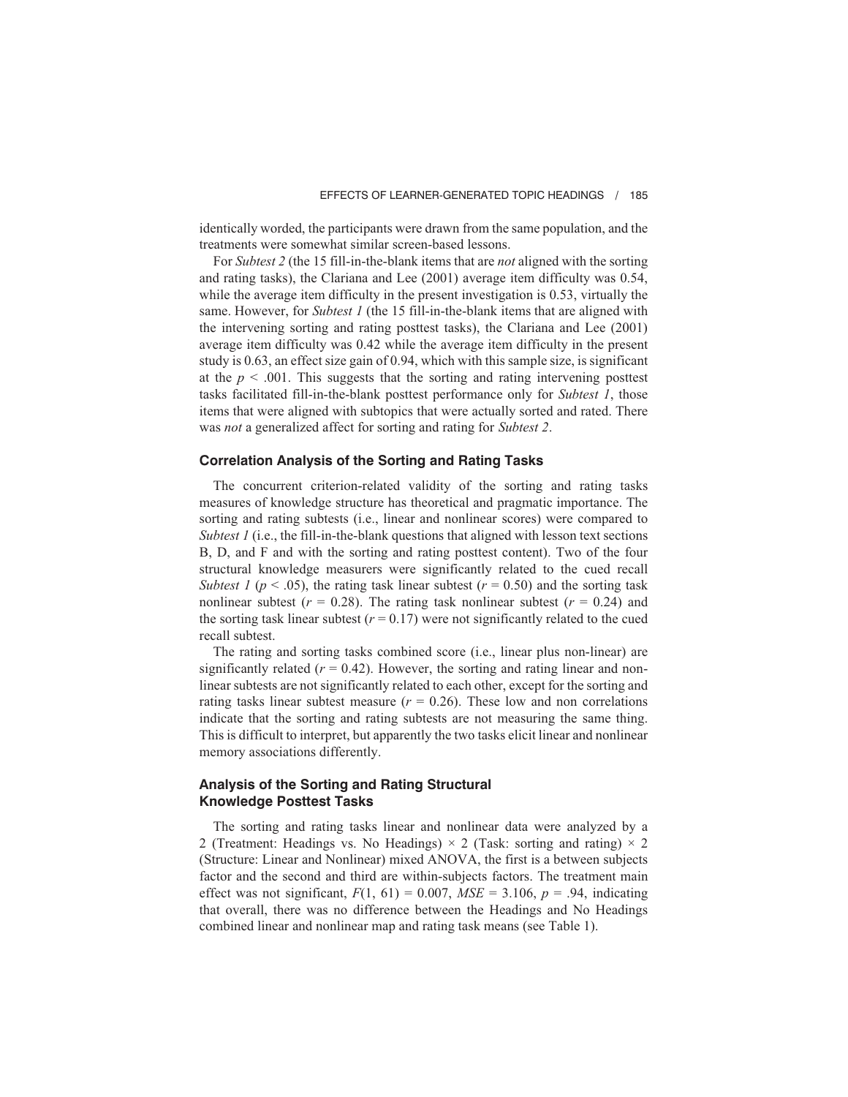identically worded, the participants were drawn from the same population, and the treatments were somewhat similar screen-based lessons.

For *Subtest 2* (the 15 fill-in-the-blank items that are *not* aligned with the sorting and rating tasks), the Clariana and Lee (2001) average item difficulty was 0.54, while the average item difficulty in the present investigation is 0.53, virtually the same. However, for *Subtest 1* (the 15 fill-in-the-blank items that are aligned with the intervening sorting and rating posttest tasks), the Clariana and Lee (2001) average item difficulty was 0.42 while the average item difficulty in the present study is 0.63, an effect size gain of 0.94, which with this sample size, is significant at the  $p < .001$ . This suggests that the sorting and rating intervening posttest tasks facilitated fill-in-the-blank posttest performance only for *Subtest 1*, those items that were aligned with subtopics that were actually sorted and rated. There was *not* a generalized affect for sorting and rating for *Subtest 2*.

## **Correlation Analysis of the Sorting and Rating Tasks**

The concurrent criterion-related validity of the sorting and rating tasks measures of knowledge structure has theoretical and pragmatic importance. The sorting and rating subtests (i.e., linear and nonlinear scores) were compared to *Subtest 1* (i.e., the fill-in-the-blank questions that aligned with lesson text sections B, D, and F and with the sorting and rating posttest content). Two of the four structural knowledge measurers were significantly related to the cued recall *Subtest 1* ( $p < .05$ ), the rating task linear subtest ( $r = 0.50$ ) and the sorting task nonlinear subtest  $(r = 0.28)$ . The rating task nonlinear subtest  $(r = 0.24)$  and the sorting task linear subtest  $(r = 0.17)$  were not significantly related to the cued recall subtest.

The rating and sorting tasks combined score (i.e., linear plus non-linear) are significantly related  $(r = 0.42)$ . However, the sorting and rating linear and nonlinear subtests are not significantly related to each other, except for the sorting and rating tasks linear subtest measure  $(r = 0.26)$ . These low and non correlations indicate that the sorting and rating subtests are not measuring the same thing. This is difficult to interpret, but apparently the two tasks elicit linear and nonlinear memory associations differently.

# **Analysis of the Sorting and Rating Structural Knowledge Posttest Tasks**

The sorting and rating tasks linear and nonlinear data were analyzed by a 2 (Treatment: Headings vs. No Headings)  $\times$  2 (Task: sorting and rating)  $\times$  2 (Structure: Linear and Nonlinear) mixed ANOVA, the first is a between subjects factor and the second and third are within-subjects factors. The treatment main effect was not significant,  $F(1, 61) = 0.007$ ,  $MSE = 3.106$ ,  $p = .94$ , indicating that overall, there was no difference between the Headings and No Headings combined linear and nonlinear map and rating task means (see Table 1).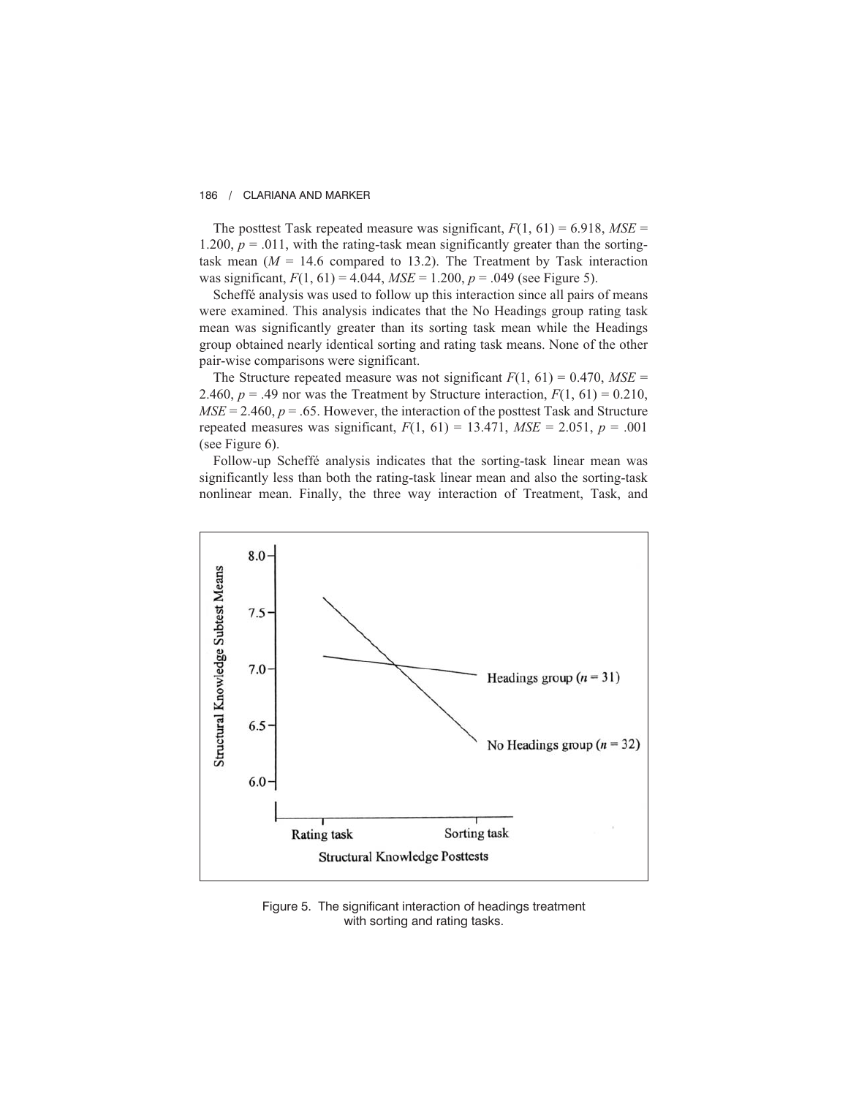The posttest Task repeated measure was significant,  $F(1, 61) = 6.918$ ,  $MSE =$ 1.200,  $p = 0.011$ , with the rating-task mean significantly greater than the sortingtask mean  $(M = 14.6$  compared to 13.2). The Treatment by Task interaction was significant, *F*(1, 61) = 4.044, *MSE* = 1.200, *p* = .049 (see Figure 5).

Scheffé analysis was used to follow up this interaction since all pairs of means were examined. This analysis indicates that the No Headings group rating task mean was significantly greater than its sorting task mean while the Headings group obtained nearly identical sorting and rating task means. None of the other pair-wise comparisons were significant.

The Structure repeated measure was not significant  $F(1, 61) = 0.470$ ,  $MSE =$ 2.460,  $p = .49$  nor was the Treatment by Structure interaction,  $F(1, 61) = 0.210$ ,  $MSE = 2.460$ ,  $p = .65$ . However, the interaction of the posttest Task and Structure repeated measures was significant,  $F(1, 61) = 13.471$ ,  $MSE = 2.051$ ,  $p = .001$ (see Figure 6).

Follow-up Scheffé analysis indicates that the sorting-task linear mean was significantly less than both the rating-task linear mean and also the sorting-task nonlinear mean. Finally, the three way interaction of Treatment, Task, and



Figure 5. The significant interaction of headings treatment with sorting and rating tasks.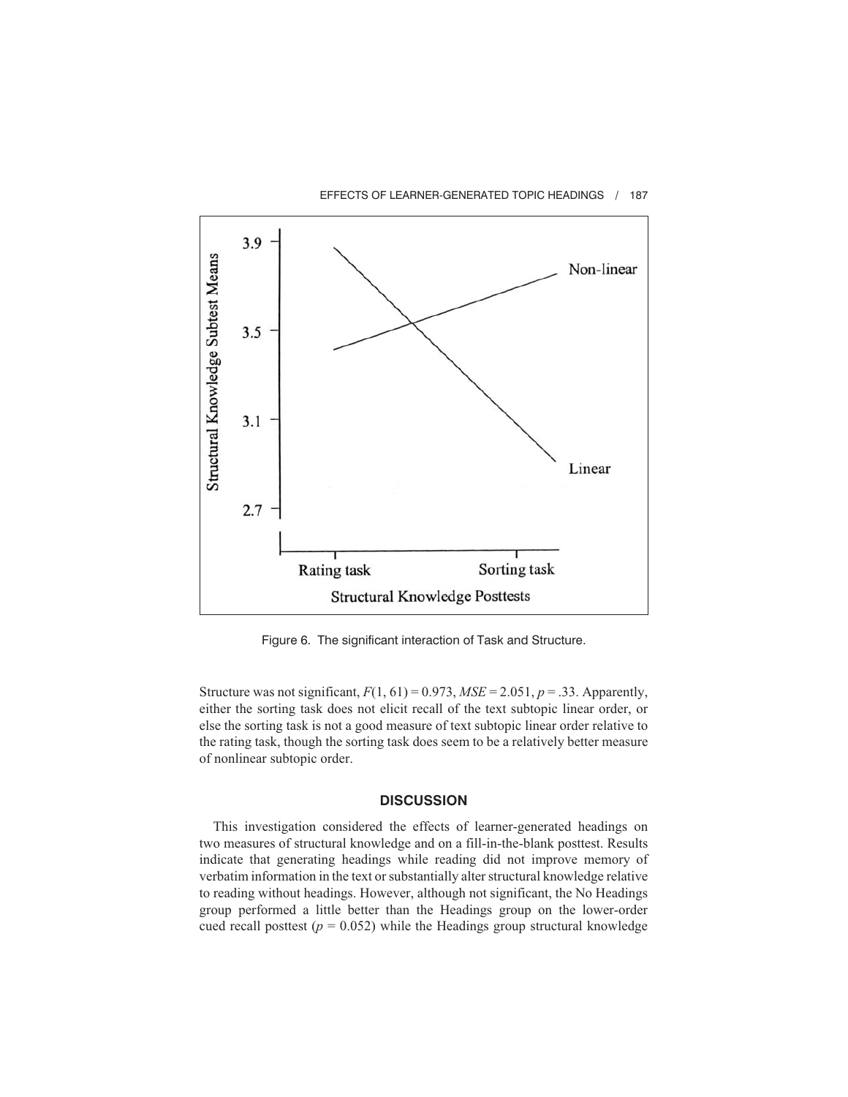

Figure 6. The significant interaction of Task and Structure.

Structure was not significant,  $F(1, 61) = 0.973$ ,  $MSE = 2.051$ ,  $p = .33$ . Apparently, either the sorting task does not elicit recall of the text subtopic linear order, or else the sorting task is not a good measure of text subtopic linear order relative to the rating task, though the sorting task does seem to be a relatively better measure of nonlinear subtopic order.

# **DISCUSSION**

This investigation considered the effects of learner-generated headings on two measures of structural knowledge and on a fill-in-the-blank posttest. Results indicate that generating headings while reading did not improve memory of verbatim information in the text or substantially alter structural knowledge relative to reading without headings. However, although not significant, the No Headings group performed a little better than the Headings group on the lower-order cued recall posttest  $(p = 0.052)$  while the Headings group structural knowledge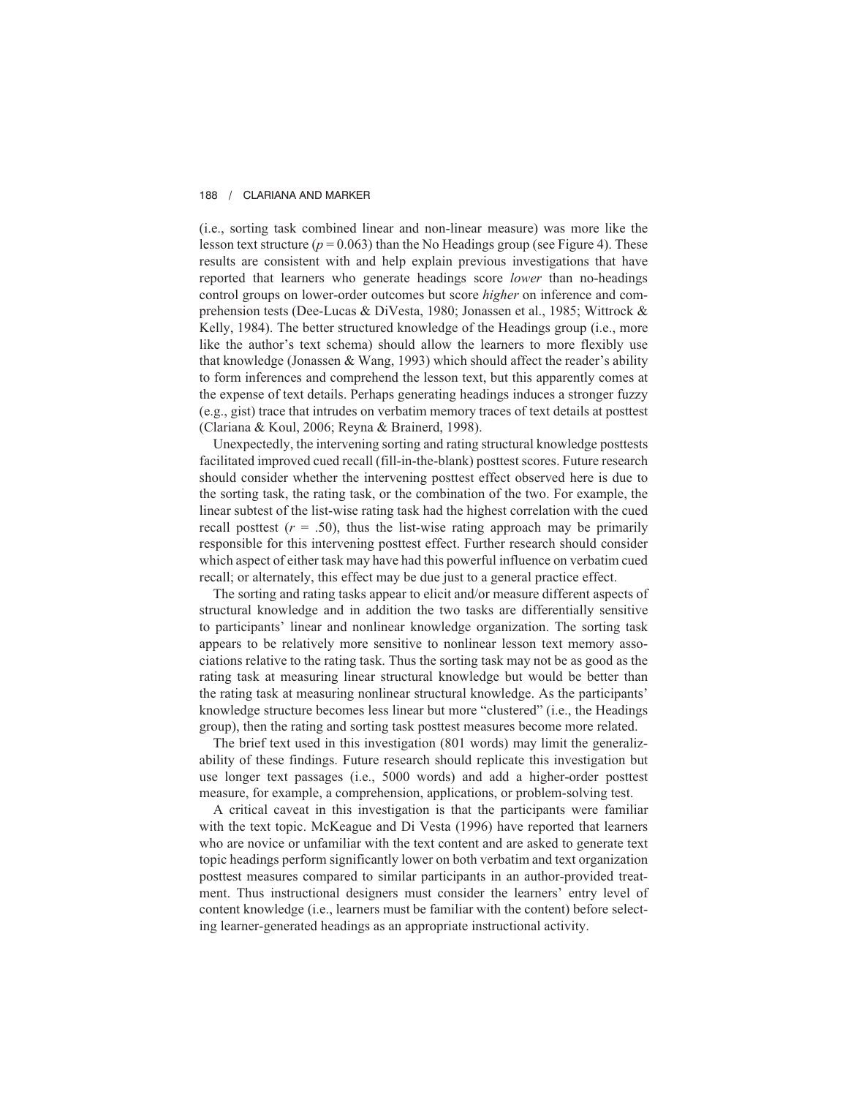(i.e., sorting task combined linear and non-linear measure) was more like the lesson text structure ( $p = 0.063$ ) than the No Headings group (see Figure 4). These results are consistent with and help explain previous investigations that have reported that learners who generate headings score *lower* than no-headings control groups on lower-order outcomes but score *higher* on inference and comprehension tests (Dee-Lucas & DiVesta, 1980; Jonassen et al., 1985; Wittrock & Kelly, 1984). The better structured knowledge of the Headings group (i.e., more like the author's text schema) should allow the learners to more flexibly use that knowledge (Jonassen & Wang, 1993) which should affect the reader's ability to form inferences and comprehend the lesson text, but this apparently comes at the expense of text details. Perhaps generating headings induces a stronger fuzzy (e.g., gist) trace that intrudes on verbatim memory traces of text details at posttest (Clariana & Koul, 2006; Reyna & Brainerd, 1998).

Unexpectedly, the intervening sorting and rating structural knowledge posttests facilitated improved cued recall (fill-in-the-blank) posttest scores. Future research should consider whether the intervening posttest effect observed here is due to the sorting task, the rating task, or the combination of the two. For example, the linear subtest of the list-wise rating task had the highest correlation with the cued recall posttest  $(r = .50)$ , thus the list-wise rating approach may be primarily responsible for this intervening posttest effect. Further research should consider which aspect of either task may have had this powerful influence on verbatim cued recall; or alternately, this effect may be due just to a general practice effect.

The sorting and rating tasks appear to elicit and/or measure different aspects of structural knowledge and in addition the two tasks are differentially sensitive to participants' linear and nonlinear knowledge organization. The sorting task appears to be relatively more sensitive to nonlinear lesson text memory associations relative to the rating task. Thus the sorting task may not be as good as the rating task at measuring linear structural knowledge but would be better than the rating task at measuring nonlinear structural knowledge. As the participants' knowledge structure becomes less linear but more "clustered" (i.e., the Headings group), then the rating and sorting task posttest measures become more related.

The brief text used in this investigation (801 words) may limit the generalizability of these findings. Future research should replicate this investigation but use longer text passages (i.e., 5000 words) and add a higher-order posttest measure, for example, a comprehension, applications, or problem-solving test.

A critical caveat in this investigation is that the participants were familiar with the text topic. McKeague and Di Vesta (1996) have reported that learners who are novice or unfamiliar with the text content and are asked to generate text topic headings perform significantly lower on both verbatim and text organization posttest measures compared to similar participants in an author-provided treatment. Thus instructional designers must consider the learners' entry level of content knowledge (i.e., learners must be familiar with the content) before selecting learner-generated headings as an appropriate instructional activity.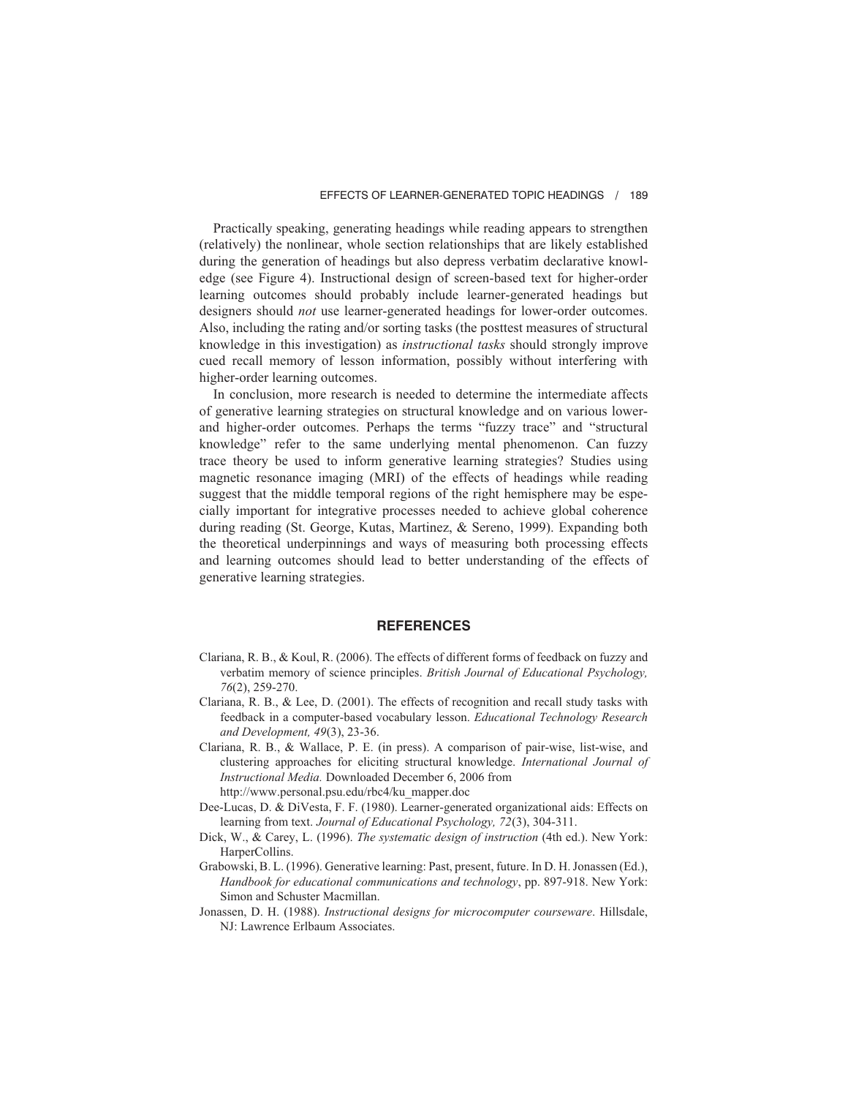Practically speaking, generating headings while reading appears to strengthen (relatively) the nonlinear, whole section relationships that are likely established during the generation of headings but also depress verbatim declarative knowledge (see Figure 4). Instructional design of screen-based text for higher-order learning outcomes should probably include learner-generated headings but designers should *not* use learner-generated headings for lower-order outcomes. Also, including the rating and/or sorting tasks (the posttest measures of structural knowledge in this investigation) as *instructional tasks* should strongly improve cued recall memory of lesson information, possibly without interfering with higher-order learning outcomes.

In conclusion, more research is needed to determine the intermediate affects of generative learning strategies on structural knowledge and on various lowerand higher-order outcomes. Perhaps the terms "fuzzy trace" and "structural knowledge" refer to the same underlying mental phenomenon. Can fuzzy trace theory be used to inform generative learning strategies? Studies using magnetic resonance imaging (MRI) of the effects of headings while reading suggest that the middle temporal regions of the right hemisphere may be especially important for integrative processes needed to achieve global coherence during reading (St. George, Kutas, Martinez, & Sereno, 1999). Expanding both the theoretical underpinnings and ways of measuring both processing effects and learning outcomes should lead to better understanding of the effects of generative learning strategies.

## **REFERENCES**

- Clariana, R. B., & Koul, R. (2006). The effects of different forms of feedback on fuzzy and verbatim memory of science principles. *British Journal of Educational Psychology, 76*(2), 259-270.
- Clariana, R. B., & Lee, D. (2001). The effects of recognition and recall study tasks with feedback in a computer-based vocabulary lesson. *Educational Technology Research and Development, 49*(3), 23-36.
- Clariana, R. B., & Wallace, P. E. (in press). A comparison of pair-wise, list-wise, and clustering approaches for eliciting structural knowledge. *International Journal of Instructional Media.* Downloaded December 6, 2006 from http://www.personal.psu.edu/rbc4/ku\_mapper.doc
- Dee-Lucas, D. & DiVesta, F. F. (1980). Learner-generated organizational aids: Effects on learning from text. *Journal of Educational Psychology, 72*(3), 304-311.
- Dick, W., & Carey, L. (1996). *The systematic design of instruction* (4th ed.). New York: HarperCollins.
- Grabowski, B. L. (1996). Generative learning: Past, present, future. In D. H. Jonassen (Ed.), *Handbook for educational communications and technology*, pp. 897-918. New York: Simon and Schuster Macmillan.
- Jonassen, D. H. (1988). *Instructional designs for microcomputer courseware*. Hillsdale, NJ: Lawrence Erlbaum Associates.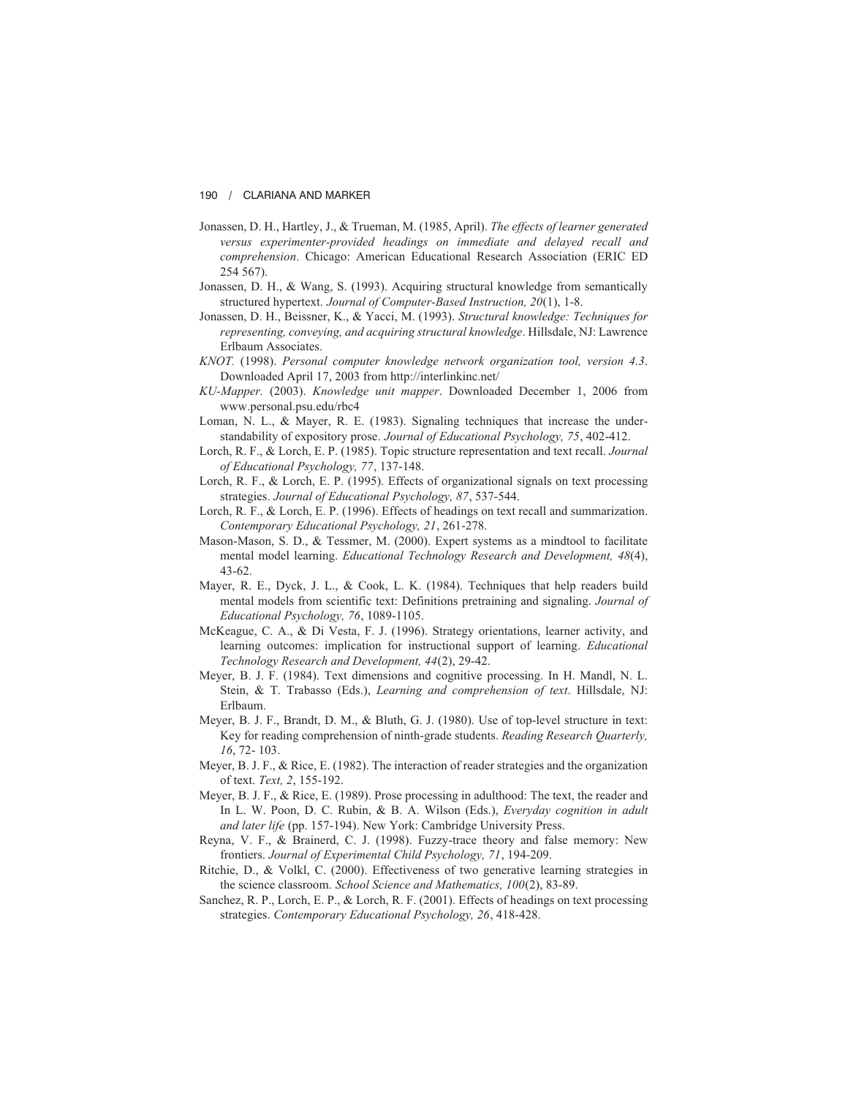- Jonassen, D. H., Hartley, J., & Trueman, M. (1985, April). *The effects of learner generated versus experimenter-provided headings on immediate and delayed recall and comprehension*. Chicago: American Educational Research Association (ERIC ED 254 567).
- Jonassen, D. H., & Wang, S. (1993). Acquiring structural knowledge from semantically structured hypertext. *Journal of Computer-Based Instruction, 20*(1), 1-8.
- Jonassen, D. H., Beissner, K., & Yacci, M. (1993). *Structural knowledge: Techniques for representing, conveying, and acquiring structural knowledge*. Hillsdale, NJ: Lawrence Erlbaum Associates.
- *KNOT.* (1998). *Personal computer knowledge network organization tool, version 4.3*. Downloaded April 17, 2003 from http://interlinkinc.net/
- *KU-Mapper.* (2003). *Knowledge unit mapper*. Downloaded December 1, 2006 from www.personal.psu.edu/rbc4
- Loman, N. L., & Mayer, R. E. (1983). Signaling techniques that increase the understandability of expository prose. *Journal of Educational Psychology, 75*, 402-412.
- Lorch, R. F., & Lorch, E. P. (1985). Topic structure representation and text recall. *Journal of Educational Psychology, 77*, 137-148.
- Lorch, R. F., & Lorch, E. P. (1995). Effects of organizational signals on text processing strategies. *Journal of Educational Psychology, 87*, 537-544.
- Lorch, R. F., & Lorch, E. P. (1996). Effects of headings on text recall and summarization. *Contemporary Educational Psychology, 21*, 261-278.
- Mason-Mason, S. D., & Tessmer, M. (2000). Expert systems as a mindtool to facilitate mental model learning. *Educational Technology Research and Development, 48*(4), 43-62.
- Mayer, R. E., Dyck, J. L., & Cook, L. K. (1984). Techniques that help readers build mental models from scientific text: Definitions pretraining and signaling. *Journal of Educational Psychology, 76*, 1089-1105.
- McKeague, C. A., & Di Vesta, F. J. (1996). Strategy orientations, learner activity, and learning outcomes: implication for instructional support of learning. *Educational Technology Research and Development, 44*(2), 29-42.
- Meyer, B. J. F. (1984). Text dimensions and cognitive processing. In H. Mandl, N. L. Stein, & T. Trabasso (Eds.), *Learning and comprehension of text*. Hillsdale, NJ: Erlbaum.
- Meyer, B. J. F., Brandt, D. M., & Bluth, G. J. (1980). Use of top-level structure in text: Key for reading comprehension of ninth-grade students. *Reading Research Quarterly, 16*, 72- 103.
- Meyer, B. J. F., & Rice, E. (1982). The interaction of reader strategies and the organization of text. *Text, 2*, 155-192.
- Meyer, B. J. F., & Rice, E. (1989). Prose processing in adulthood: The text, the reader and In L. W. Poon, D. C. Rubin, & B. A. Wilson (Eds.), *Everyday cognition in adult and later life* (pp. 157-194). New York: Cambridge University Press.
- Reyna, V. F., & Brainerd, C. J. (1998). Fuzzy-trace theory and false memory: New frontiers. *Journal of Experimental Child Psychology, 71*, 194-209.
- Ritchie, D., & Volkl, C. (2000). Effectiveness of two generative learning strategies in the science classroom. *School Science and Mathematics, 100*(2), 83-89.
- Sanchez, R. P., Lorch, E. P., & Lorch, R. F. (2001). Effects of headings on text processing strategies. *Contemporary Educational Psychology, 26*, 418-428.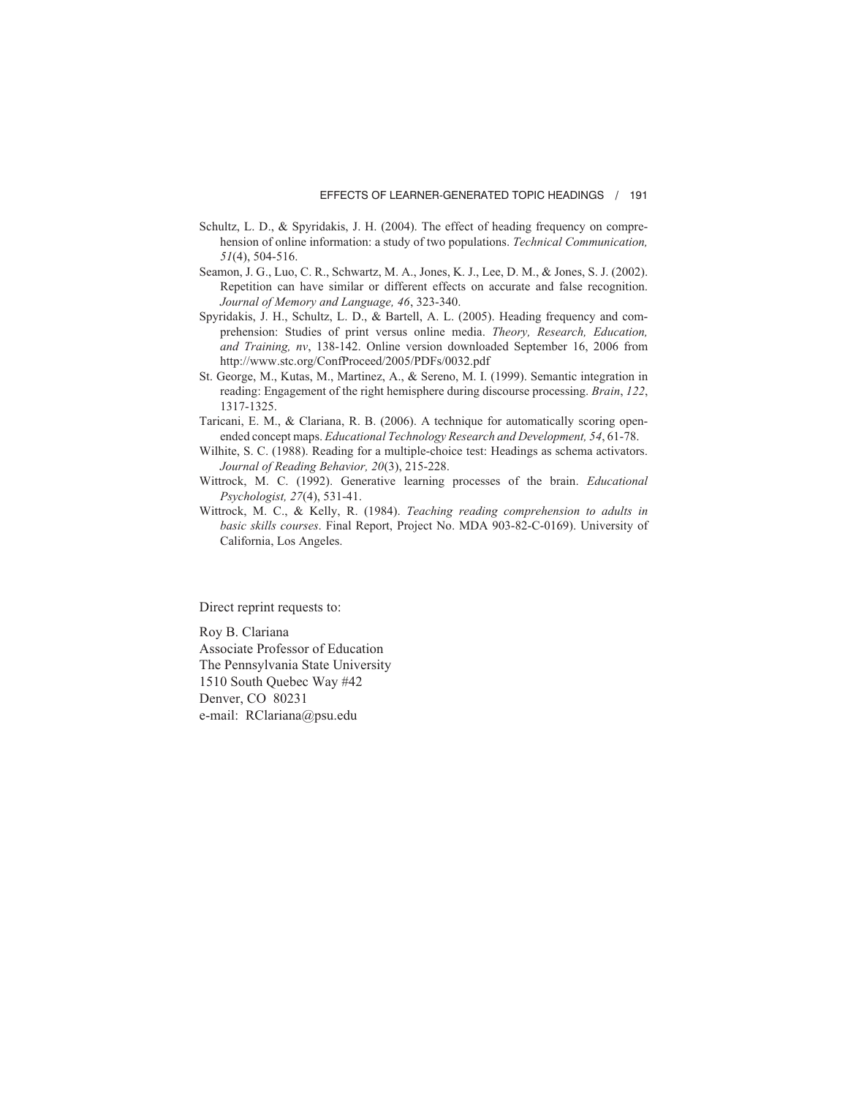- Schultz, L. D., & Spyridakis, J. H. (2004). The effect of heading frequency on comprehension of online information: a study of two populations. *Technical Communication, 51*(4), 504-516.
- Seamon, J. G., Luo, C. R., Schwartz, M. A., Jones, K. J., Lee, D. M., & Jones, S. J. (2002). Repetition can have similar or different effects on accurate and false recognition. *Journal of Memory and Language, 46*, 323-340.
- Spyridakis, J. H., Schultz, L. D., & Bartell, A. L. (2005). Heading frequency and comprehension: Studies of print versus online media. *Theory, Research, Education, and Training, nv*, 138-142. Online version downloaded September 16, 2006 from http://www.stc.org/ConfProceed/2005/PDFs/0032.pdf
- St. George, M., Kutas, M., Martinez, A., & Sereno, M. I. (1999). Semantic integration in reading: Engagement of the right hemisphere during discourse processing. *Brain*, *122*, 1317-1325.
- Taricani, E. M., & Clariana, R. B. (2006). A technique for automatically scoring openended concept maps. *Educational Technology Research and Development, 54*, 61-78.
- Wilhite, S. C. (1988). Reading for a multiple-choice test: Headings as schema activators. *Journal of Reading Behavior, 20*(3), 215-228.
- Wittrock, M. C. (1992). Generative learning processes of the brain. *Educational Psychologist, 27*(4), 531-41.
- Wittrock, M. C., & Kelly, R. (1984). *Teaching reading comprehension to adults in basic skills courses*. Final Report, Project No. MDA 903-82-C-0169). University of California, Los Angeles.

Direct reprint requests to:

Roy B. Clariana Associate Professor of Education The Pennsylvania State University 1510 South Quebec Way #42 Denver, CO 80231 e-mail: RClariana@psu.edu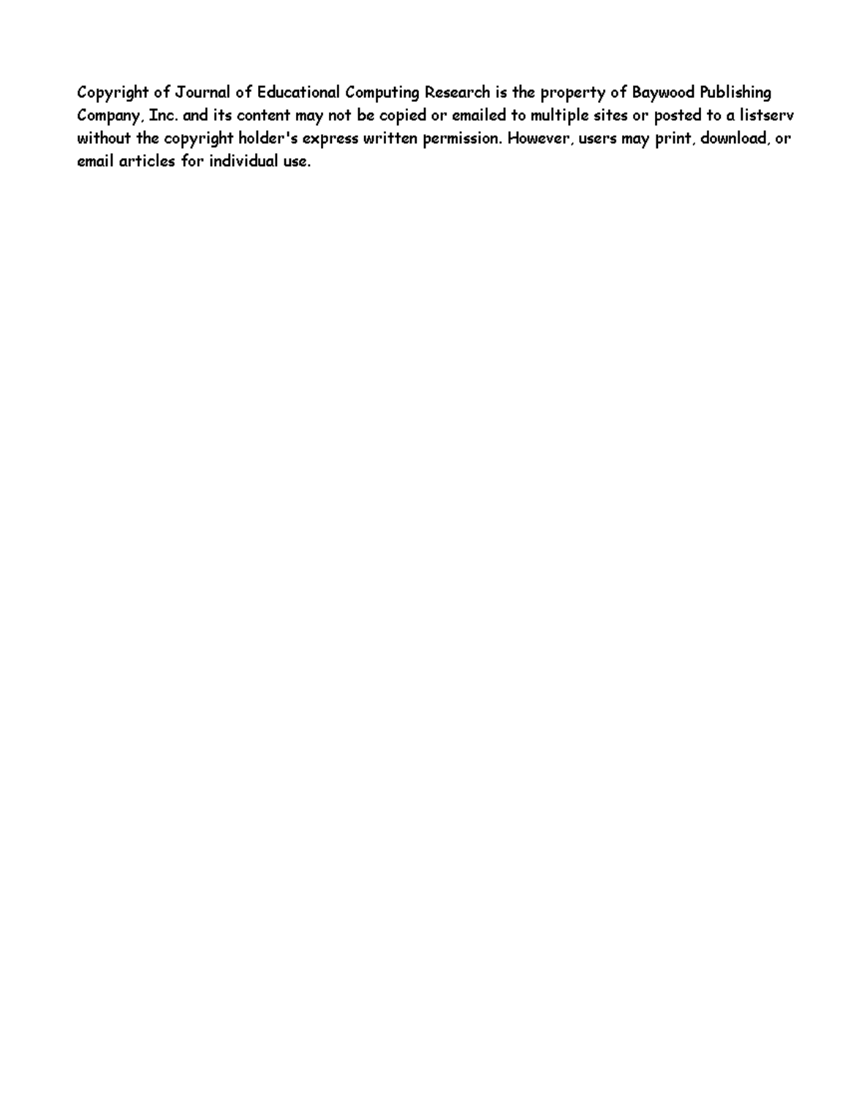Copyright of Journal of Educational Computing Research is the property of Baywood Publishing Company, Inc. and its content may not be copied or emailed to multiple sites or posted to a listserv without the copyright holder's express written permission. However, users may print, download, or email articles for individual use.